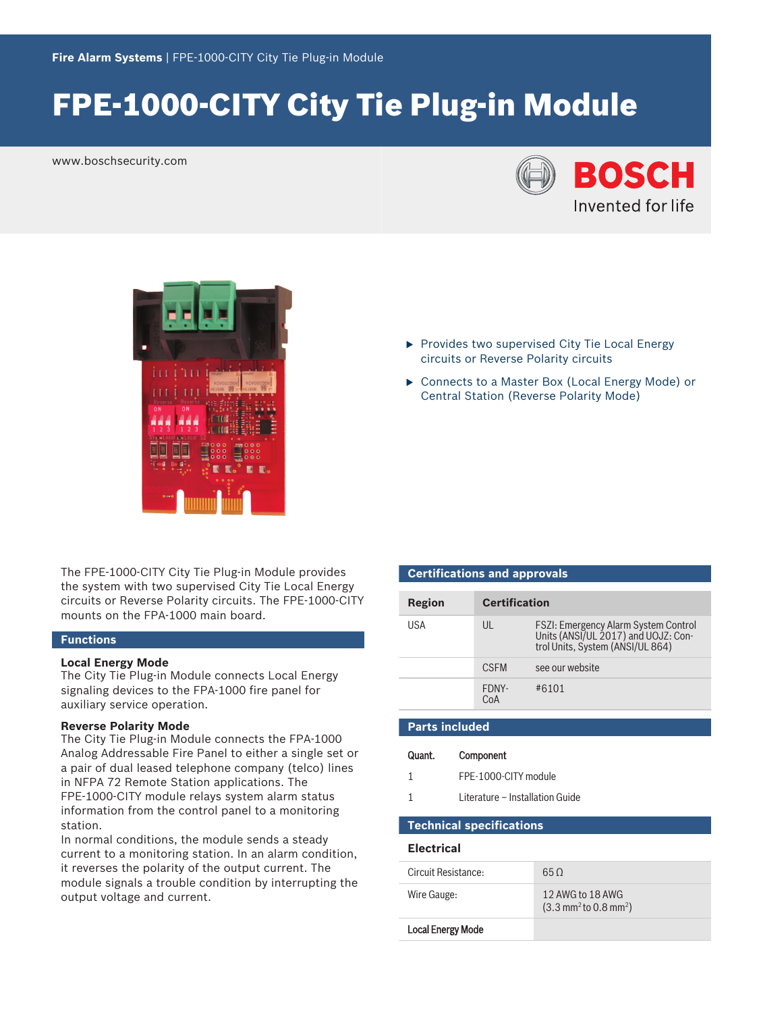# FPE-1000-CITY City Tie Plug-in Module

www.boschsecurity.com





The FPE-1000-CITY City Tie Plug-in Module provides the system with two supervised City Tie Local Energy circuits or Reverse Polarity circuits. The FPE‑1000‑CITY mounts on the FPA-1000 main board.

### **Functions**

#### **Local Energy Mode**

The City Tie Plug-in Module connects Local Energy signaling devices to the FPA‑1000 fire panel for auxiliary service operation.

#### **Reverse Polarity Mode**

The City Tie Plug-in Module connects the FPA-1000 Analog Addressable Fire Panel to either a single set or a pair of dual leased telephone company (telco) lines in NFPA 72 Remote Station applications. The FPE-1000-CITY module relays system alarm status information from the control panel to a monitoring station.

In normal conditions, the module sends a steady current to a monitoring station. In an alarm condition, it reverses the polarity of the output current. The module signals a trouble condition by interrupting the output voltage and current.

- $\blacktriangleright$  Provides two supervised City Tie Local Energy circuits or Reverse Polarity circuits
- ▶ Connects to a Master Box (Local Energy Mode) or Central Station (Reverse Polarity Mode)

| <b>Certifications and approvals</b> |                      |                                                                                                                        |  |
|-------------------------------------|----------------------|------------------------------------------------------------------------------------------------------------------------|--|
| Region                              | <b>Certification</b> |                                                                                                                        |  |
| USA                                 | UL                   | <b>FSZI: Emergency Alarm System Control</b><br>Units (ANSI/UL 2017) and UOJZ: Con-<br>trol Units, System (ANSI/UL 864) |  |
|                                     | <b>CSEM</b>          | see our website                                                                                                        |  |
|                                     | FDNY-<br>$C_0A$      | #6101                                                                                                                  |  |

# **Parts included**

## Quant. Component

- 1 FPE-1000-CITY module
- 1 Literature Installation Guide

### **Technical specifications**

### **Electrical**

| Circuit Resistance:      | 65 O                                                                  |
|--------------------------|-----------------------------------------------------------------------|
| Wire Gauge:              | 12 AWG to 18 AWG<br>$(3.3 \text{ mm}^2 \text{ to } 0.8 \text{ mm}^2)$ |
| <b>Local Energy Mode</b> |                                                                       |